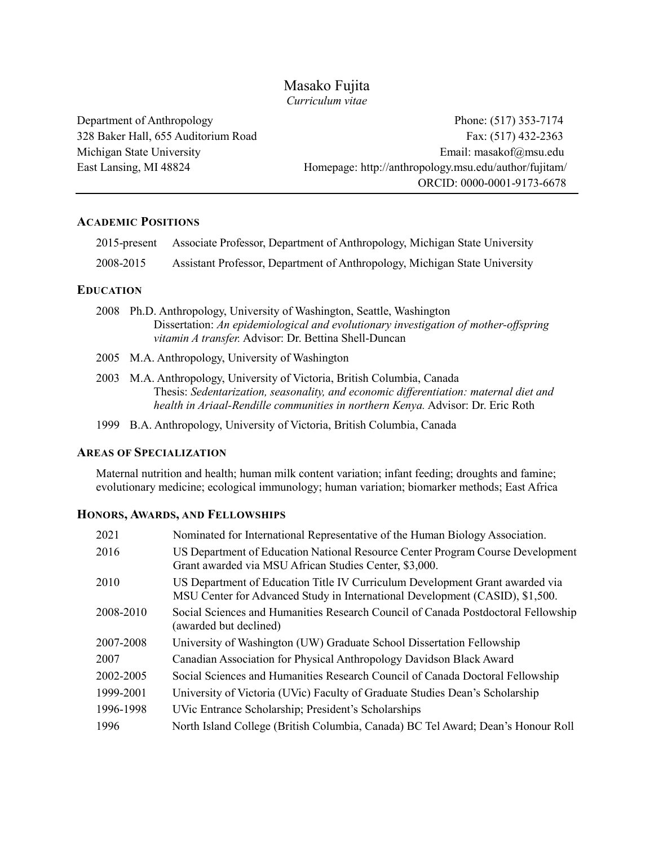## Masako Fujita *Curriculum vitae*

Department of Anthropology Phone: (517) 353-7174 328 Baker Hall, 655 Auditorium Road Fax: (517) 432-2363 Michigan State University Email: masakof@msu.edu East Lansing, MI 48824 Homepage: http://anthropology.msu.edu/author/fujitam/ ORCID: 0000-0001-9173-6678

## **ACADEMIC POSITIONS**

|           | 2015-present Associate Professor, Department of Anthropology, Michigan State University |
|-----------|-----------------------------------------------------------------------------------------|
| 2008-2015 | Assistant Professor, Department of Anthropology, Michigan State University              |

## **EDUCATION**

- 2008 Ph.D. Anthropology, University of Washington, Seattle, Washington Dissertation: *An epidemiological and evolutionary investigation of mother-offspring vitamin A transfer.* Advisor: Dr. Bettina Shell-Duncan
- 2005 M.A. Anthropology, University of Washington
- 2003 M.A. Anthropology, University of Victoria, British Columbia, Canada Thesis: *Sedentarization, seasonality, and economic differentiation: maternal diet and health in Ariaal-Rendille communities in northern Kenya.* Advisor: Dr. Eric Roth
- 1999 B.A. Anthropology, University of Victoria, British Columbia, Canada

## **AREAS OF SPECIALIZATION**

Maternal nutrition and health; human milk content variation; infant feeding; droughts and famine; evolutionary medicine; ecological immunology; human variation; biomarker methods; East Africa

## **HONORS, AWARDS, AND FELLOWSHIPS**

| Nominated for International Representative of the Human Biology Association.                                                                                 |
|--------------------------------------------------------------------------------------------------------------------------------------------------------------|
| US Department of Education National Resource Center Program Course Development<br>Grant awarded via MSU African Studies Center, \$3,000.                     |
| US Department of Education Title IV Curriculum Development Grant awarded via<br>MSU Center for Advanced Study in International Development (CASID), \$1,500. |
| Social Sciences and Humanities Research Council of Canada Postdoctoral Fellowship<br>(awarded but declined)                                                  |
| University of Washington (UW) Graduate School Dissertation Fellowship                                                                                        |
| Canadian Association for Physical Anthropology Davidson Black Award                                                                                          |
| Social Sciences and Humanities Research Council of Canada Doctoral Fellowship                                                                                |
| University of Victoria (UVic) Faculty of Graduate Studies Dean's Scholarship                                                                                 |
| UVic Entrance Scholarship; President's Scholarships                                                                                                          |
| North Island College (British Columbia, Canada) BC Tel Award; Dean's Honour Roll                                                                             |
|                                                                                                                                                              |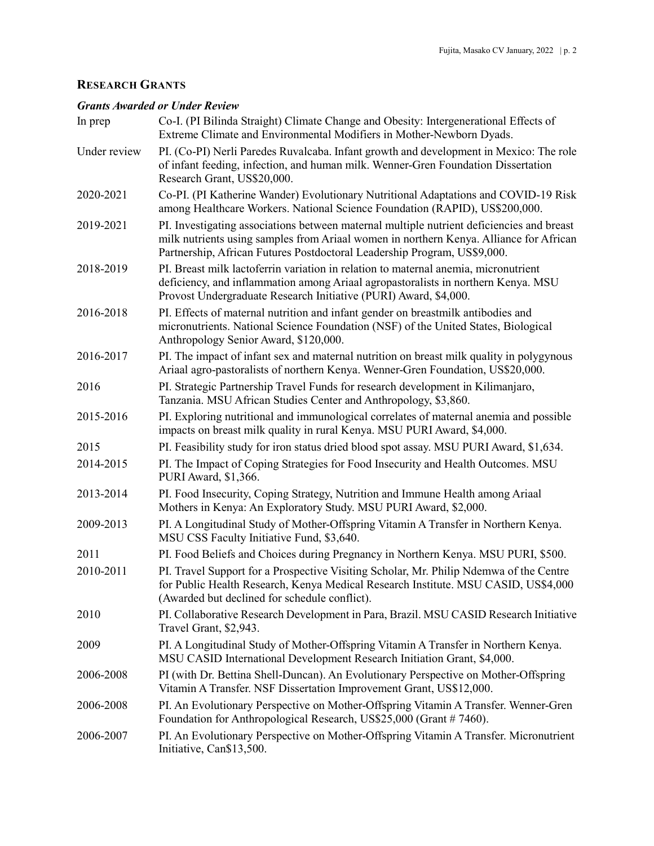# **RESEARCH GRANTS**

### *Grants Awarded or Under Review*

| In prep      | Co-I. (PI Bilinda Straight) Climate Change and Obesity: Intergenerational Effects of<br>Extreme Climate and Environmental Modifiers in Mother-Newborn Dyads.                                                                                                    |
|--------------|-----------------------------------------------------------------------------------------------------------------------------------------------------------------------------------------------------------------------------------------------------------------|
| Under review | PI. (Co-PI) Nerli Paredes Ruvalcaba. Infant growth and development in Mexico: The role<br>of infant feeding, infection, and human milk. Wenner-Gren Foundation Dissertation<br>Research Grant, US\$20,000.                                                      |
| 2020-2021    | Co-PI. (PI Katherine Wander) Evolutionary Nutritional Adaptations and COVID-19 Risk<br>among Healthcare Workers. National Science Foundation (RAPID), US\$200,000.                                                                                              |
| 2019-2021    | PI. Investigating associations between maternal multiple nutrient deficiencies and breast<br>milk nutrients using samples from Ariaal women in northern Kenya. Alliance for African<br>Partnership, African Futures Postdoctoral Leadership Program, US\$9,000. |
| 2018-2019    | PI. Breast milk lactoferrin variation in relation to maternal anemia, micronutrient<br>deficiency, and inflammation among Ariaal agropastoralists in northern Kenya. MSU<br>Provost Undergraduate Research Initiative (PURI) Award, \$4,000.                    |
| 2016-2018    | PI. Effects of maternal nutrition and infant gender on breastmilk antibodies and<br>micronutrients. National Science Foundation (NSF) of the United States, Biological<br>Anthropology Senior Award, \$120,000.                                                 |
| 2016-2017    | PI. The impact of infant sex and maternal nutrition on breast milk quality in polygynous<br>Ariaal agro-pastoralists of northern Kenya. Wenner-Gren Foundation, US\$20,000.                                                                                     |
| 2016         | PI. Strategic Partnership Travel Funds for research development in Kilimanjaro,<br>Tanzania. MSU African Studies Center and Anthropology, \$3,860.                                                                                                              |
| 2015-2016    | PI. Exploring nutritional and immunological correlates of maternal anemia and possible<br>impacts on breast milk quality in rural Kenya. MSU PURI Award, \$4,000.                                                                                               |
| 2015         | PI. Feasibility study for iron status dried blood spot assay. MSU PURI Award, \$1,634.                                                                                                                                                                          |
| 2014-2015    | PI. The Impact of Coping Strategies for Food Insecurity and Health Outcomes. MSU<br>PURI Award, \$1,366.                                                                                                                                                        |
| 2013-2014    | PI. Food Insecurity, Coping Strategy, Nutrition and Immune Health among Ariaal<br>Mothers in Kenya: An Exploratory Study. MSU PURI Award, \$2,000.                                                                                                              |
| 2009-2013    | PI. A Longitudinal Study of Mother-Offspring Vitamin A Transfer in Northern Kenya.<br>MSU CSS Faculty Initiative Fund, \$3,640.                                                                                                                                 |
| 2011         | PI. Food Beliefs and Choices during Pregnancy in Northern Kenya. MSU PURI, \$500.                                                                                                                                                                               |
| 2010-2011    | PI. Travel Support for a Prospective Visiting Scholar, Mr. Philip Ndemwa of the Centre<br>for Public Health Research, Kenya Medical Research Institute. MSU CASID, US\$4,000<br>(Awarded but declined for schedule conflict).                                   |
| 2010         | PI. Collaborative Research Development in Para, Brazil. MSU CASID Research Initiative<br>Travel Grant, \$2,943.                                                                                                                                                 |
| 2009         | PI. A Longitudinal Study of Mother-Offspring Vitamin A Transfer in Northern Kenya.<br>MSU CASID International Development Research Initiation Grant, \$4,000.                                                                                                   |
| 2006-2008    | PI (with Dr. Bettina Shell-Duncan). An Evolutionary Perspective on Mother-Offspring<br>Vitamin A Transfer. NSF Dissertation Improvement Grant, US\$12,000.                                                                                                      |
| 2006-2008    | PI. An Evolutionary Perspective on Mother-Offspring Vitamin A Transfer. Wenner-Gren<br>Foundation for Anthropological Research, US\$25,000 (Grant # 7460).                                                                                                      |
| 2006-2007    | PI. An Evolutionary Perspective on Mother-Offspring Vitamin A Transfer. Micronutrient<br>Initiative, Can\$13,500.                                                                                                                                               |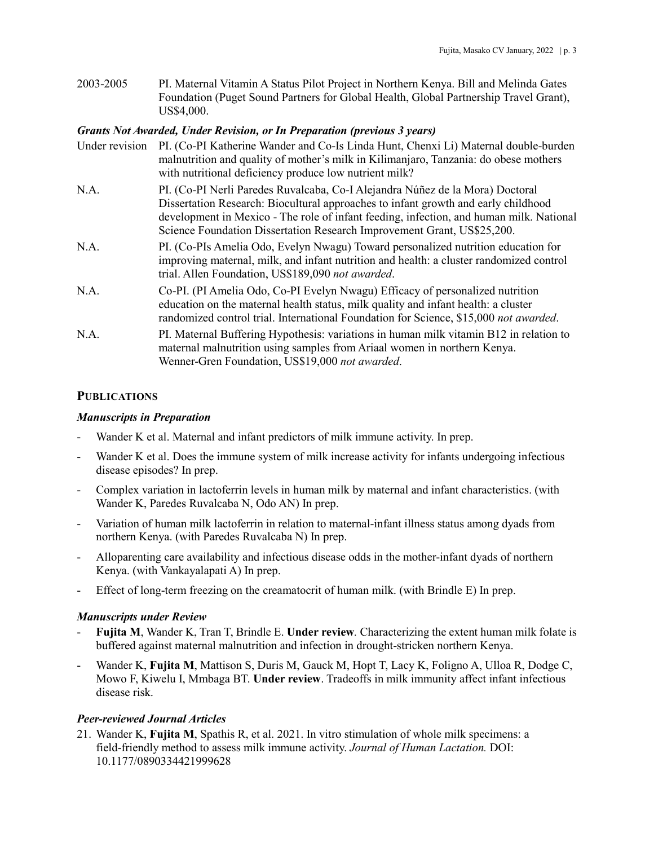2003-2005 PI. Maternal Vitamin A Status Pilot Project in Northern Kenya. Bill and Melinda Gates Foundation (Puget Sound Partners for Global Health, Global Partnership Travel Grant), US\$4,000.

### *Grants Not Awarded, Under Revision, or In Preparation (previous 3 years)*

| Under revision | PI. (Co-PI Katherine Wander and Co-Is Linda Hunt, Chenxi Li) Maternal double-burden<br>malnutrition and quality of mother's milk in Kilimanjaro, Tanzania: do obese mothers<br>with nutritional deficiency produce low nutrient milk?                                                                                                     |
|----------------|-------------------------------------------------------------------------------------------------------------------------------------------------------------------------------------------------------------------------------------------------------------------------------------------------------------------------------------------|
| N.A.           | PI. (Co-PI Nerli Paredes Ruvalcaba, Co-I Alejandra Núñez de la Mora) Doctoral<br>Dissertation Research: Biocultural approaches to infant growth and early childhood<br>development in Mexico - The role of infant feeding, infection, and human milk. National<br>Science Foundation Dissertation Research Improvement Grant, US\$25,200. |
| N.A.           | PI. (Co-PIs Amelia Odo, Evelyn Nwagu) Toward personalized nutrition education for<br>improving maternal, milk, and infant nutrition and health: a cluster randomized control<br>trial. Allen Foundation, US\$189,090 not awarded.                                                                                                         |
| N.A.           | Co-PI. (PI Amelia Odo, Co-PI Evelyn Nwagu) Efficacy of personalized nutrition<br>education on the maternal health status, milk quality and infant health: a cluster<br>randomized control trial. International Foundation for Science, \$15,000 not awarded.                                                                              |
| N.A.           | PI. Maternal Buffering Hypothesis: variations in human milk vitamin B12 in relation to<br>maternal malnutrition using samples from Ariaal women in northern Kenya.<br>Wenner-Gren Foundation, US\$19,000 not awarded.                                                                                                                     |

## **PUBLICATIONS**

### *Manuscripts in Preparation*

- Wander K et al. Maternal and infant predictors of milk immune activity. In prep.
- Wander K et al. Does the immune system of milk increase activity for infants undergoing infectious disease episodes? In prep.
- Complex variation in lactoferrin levels in human milk by maternal and infant characteristics. (with Wander K, Paredes Ruvalcaba N, Odo AN) In prep.
- Variation of human milk lactoferrin in relation to maternal-infant illness status among dyads from northern Kenya. (with Paredes Ruvalcaba N) In prep.
- Alloparenting care availability and infectious disease odds in the mother-infant dyads of northern Kenya. (with Vankayalapati A) In prep.
- Effect of long-term freezing on the creamatocrit of human milk. (with Brindle E) In prep.

## *Manuscripts under Review*

- **Fujita M**, Wander K, Tran T, Brindle E. **Under review***.* Characterizing the extent human milk folate is buffered against maternal malnutrition and infection in drought-stricken northern Kenya.
- Wander K, **Fujita M**, Mattison S, Duris M, Gauck M, Hopt T, Lacy K, Foligno A, Ulloa R, Dodge C, Mowo F, Kiwelu I, Mmbaga BT. **Under review**. Tradeoffs in milk immunity affect infant infectious disease risk.

## *Peer-reviewed Journal Articles*

21. Wander K, **Fujita M**, Spathis R, et al. 2021. In vitro stimulation of whole milk specimens: a field-friendly method to assess milk immune activity. *Journal of Human Lactation.* DOI: 10.1177/0890334421999628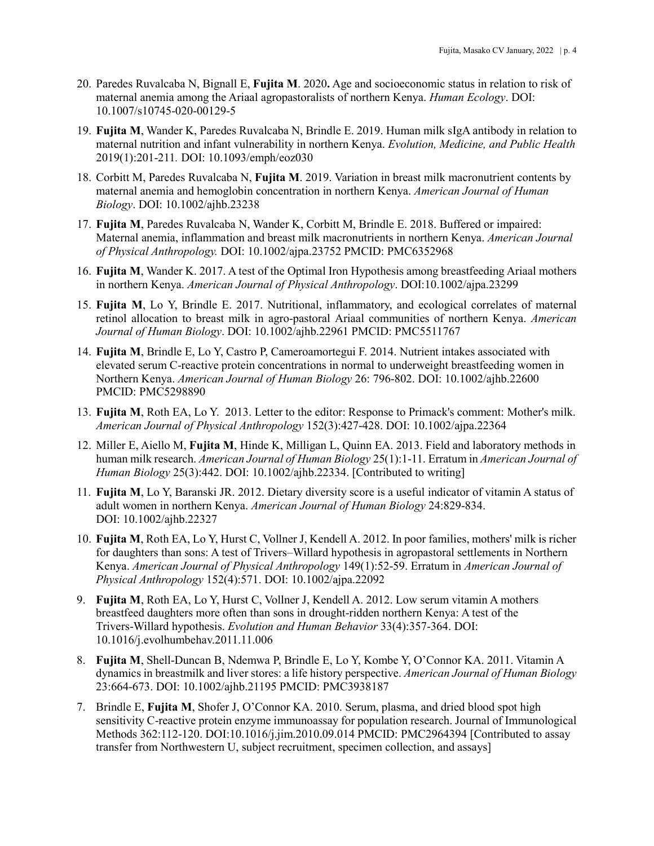- 20. Paredes Ruvalcaba N, Bignall E, **Fujita M**. 2020**.** Age and socioeconomic status in relation to risk of maternal anemia among the Ariaal agropastoralists of northern Kenya. *Human Ecology*. DOI: 10.1007/s10745-020-00129-5
- 19. **Fujita M**, Wander K, Paredes Ruvalcaba N, Brindle E. 2019. Human milk sIgA antibody in relation to maternal nutrition and infant vulnerability in northern Kenya. *Evolution, Medicine, and Public Health* 2019(1):201-211*.* DOI: 10.1093/emph/eoz030
- 18. Corbitt M, Paredes Ruvalcaba N, **Fujita M**. 2019. Variation in breast milk macronutrient contents by maternal anemia and hemoglobin concentration in northern Kenya. *American Journal of Human Biology*. DOI: 10.1002/ajhb.23238
- 17. **Fujita M**, Paredes Ruvalcaba N, Wander K, Corbitt M, Brindle E. 2018. Buffered or impaired: Maternal anemia, inflammation and breast milk macronutrients in northern Kenya. *American Journal of Physical Anthropology.* DOI: 10.1002/ajpa.23752 PMCID: PMC6352968
- 16. **Fujita M**, Wander K. 2017. A test of the Optimal Iron Hypothesis among breastfeeding Ariaal mothers in northern Kenya. *American Journal of Physical Anthropology*. DOI:10.1002/ajpa.23299
- 15. **Fujita M**, Lo Y, Brindle E. 2017. Nutritional, inflammatory, and ecological correlates of maternal retinol allocation to breast milk in agro-pastoral Ariaal communities of northern Kenya. *American Journal of Human Biology*. DOI: 10.1002/ajhb.22961 PMCID: PMC5511767
- 14. **Fujita M**, Brindle E, Lo Y, Castro P, Cameroamortegui F. 2014. Nutrient intakes associated with elevated serum C-reactive protein concentrations in normal to underweight breastfeeding women in Northern Kenya. *American Journal of Human Biology* 26: 796-802. DOI: 10.1002/ajhb.22600 PMCID: PMC5298890
- 13. **Fujita M**, Roth EA, Lo Y. 2013. Letter to the editor: Response to Primack's comment: Mother's milk. *American Journal of Physical Anthropology* 152(3):427-428. DOI: 10.1002/ajpa.22364
- 12. Miller E, Aiello M, **Fujita M**, Hinde K, Milligan L, Quinn EA. 2013. Field and laboratory methods in human milk research. *American Journal of Human Biology* 25(1):1-11. Erratum in *American Journal of Human Biology* 25(3):442. DOI: 10.1002/ajhb.22334. [Contributed to writing]
- 11. **Fujita M**, Lo Y, Baranski JR. 2012. Dietary diversity score is a useful indicator of vitamin A status of adult women in northern Kenya. *American Journal of Human Biology* 24:829-834. DOI: 10.1002/ajhb.22327
- 10. **Fujita M**, Roth EA, Lo Y, Hurst C, Vollner J, Kendell A. 2012. In poor families, mothers' milk is richer for daughters than sons: A test of Trivers–Willard hypothesis in agropastoral settlements in Northern Kenya. *American Journal of Physical Anthropology* 149(1):52-59. Erratum in *American Journal of Physical Anthropology* 152(4):571. DOI: 10.1002/ajpa.22092
- 9. **Fujita M**, Roth EA, Lo Y, Hurst C, Vollner J, Kendell A. 2012. Low serum vitamin A mothers breastfeed daughters more often than sons in drought-ridden northern Kenya: A test of the Trivers-Willard hypothesis. *Evolution and Human Behavior* 33(4):357-364. DOI: 10.1016/j.evolhumbehav.2011.11.006
- 8. **Fujita M**, Shell-Duncan B, Ndemwa P, Brindle E, Lo Y, Kombe Y, O'Connor KA. 2011. Vitamin A dynamics in breastmilk and liver stores: a life history perspective. *American Journal of Human Biology* 23:664-673. DOI: 10.1002/ajhb.21195 PMCID: PMC3938187
- 7. Brindle E, **Fujita M**, Shofer J, O'Connor KA. 2010. Serum, plasma, and dried blood spot high sensitivity C-reactive protein enzyme immunoassay for population research. Journal of Immunological Methods 362:112-120. DOI:10.1016/j.jim.2010.09.014 PMCID: PMC2964394 [Contributed to assay transfer from Northwestern U, subject recruitment, specimen collection, and assays]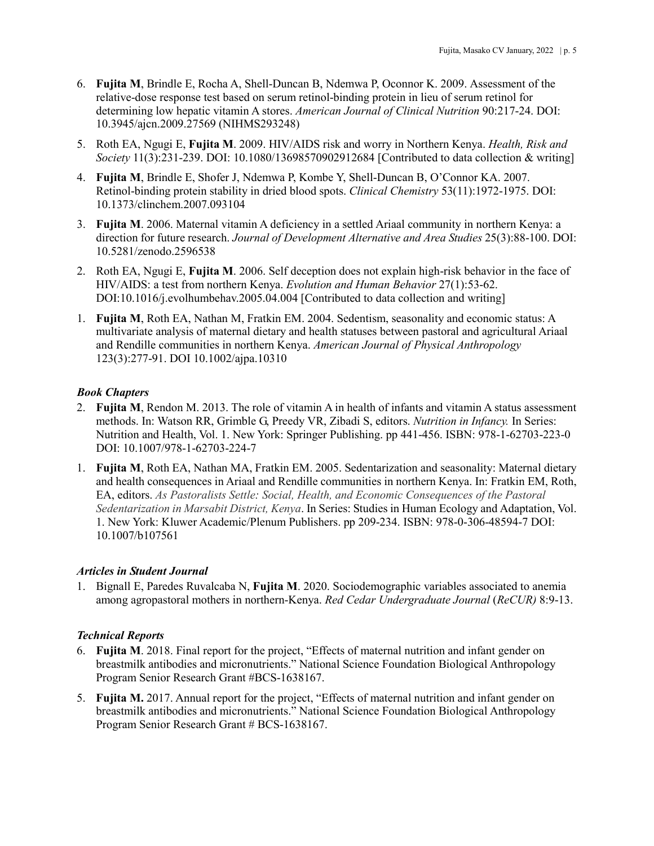- 6. **Fujita M**, Brindle E, Rocha A, Shell-Duncan B, Ndemwa P, Oconnor K. 2009. Assessment of the relative-dose response test based on serum retinol-binding protein in lieu of serum retinol for determining low hepatic vitamin A stores. *American Journal of Clinical Nutrition* 90:217-24. DOI: 10.3945/ajcn.2009.27569 (NIHMS293248)
- 5. Roth EA, Ngugi E, **Fujita M**. 2009. HIV/AIDS risk and worry in Northern Kenya. *Health, Risk and Society* 11(3):231-239. DOI: 10.1080/13698570902912684 [Contributed to data collection & writing]
- 4. **Fujita M**, Brindle E, Shofer J, Ndemwa P, Kombe Y, Shell-Duncan B, O'Connor KA. 2007. Retinol-binding protein stability in dried blood spots. *Clinical Chemistry* 53(11):1972-1975. DOI: 10.1373/clinchem.2007.093104
- 3. **Fujita M**. 2006. Maternal vitamin A deficiency in a settled Ariaal community in northern Kenya: a direction for future research. *Journal of Development Alternative and Area Studies* 25(3):88-100. DOI: 10.5281/zenodo.2596538
- 2. Roth EA, Ngugi E, **Fujita M**. 2006. Self deception does not explain high-risk behavior in the face of HIV/AIDS: a test from northern Kenya. *Evolution and Human Behavior* 27(1):53-62. DOI:10.1016/j.evolhumbehav.2005.04.004 [Contributed to data collection and writing]
- 1. **Fujita M**, Roth EA, Nathan M, Fratkin EM. 2004. Sedentism, seasonality and economic status: A multivariate analysis of maternal dietary and health statuses between pastoral and agricultural Ariaal and Rendille communities in northern Kenya. *American Journal of Physical Anthropology* 123(3):277-91. DOI 10.1002/ajpa.10310

## *Book Chapters*

- 2. **Fujita M**, Rendon M. 2013. The role of vitamin A in health of infants and vitamin A status assessment methods. In: Watson RR, Grimble G, Preedy VR, Zibadi S, editors. *Nutrition in Infancy.* In Series: Nutrition and Health, Vol. 1. New York: Springer Publishing. pp 441-456. ISBN: 978-1-62703-223-0 DOI: 10.1007/978-1-62703-224-7
- 1. **Fujita M**, Roth EA, Nathan MA, Fratkin EM. 2005. Sedentarization and seasonality: Maternal dietary and health consequences in Ariaal and Rendille communities in northern Kenya. In: Fratkin EM, Roth, EA, editors. *As Pastoralists Settle: Social, Health, and Economic Consequences of the Pastoral Sedentarization in Marsabit District, Kenya*. In Series: Studies in Human Ecology and Adaptation, Vol. 1. New York: Kluwer Academic/Plenum Publishers. pp 209-234. ISBN: 978-0-306-48594-7 DOI: 10.1007/b107561

### *Articles in Student Journal*

1. Bignall E, Paredes Ruvalcaba N, **Fujita M**. 2020. Sociodemographic variables associated to anemia among agropastoral mothers in northern-Kenya. *Red Cedar Undergraduate Journal* (*ReCUR)* 8:9-13.

## *Technical Reports*

- 6. **Fujita M**. 2018. Final report for the project, "Effects of maternal nutrition and infant gender on breastmilk antibodies and micronutrients." National Science Foundation Biological Anthropology Program Senior Research Grant #BCS-1638167.
- 5. **Fujita M.** 2017. Annual report for the project, "Effects of maternal nutrition and infant gender on breastmilk antibodies and micronutrients." National Science Foundation Biological Anthropology Program Senior Research Grant # BCS-1638167.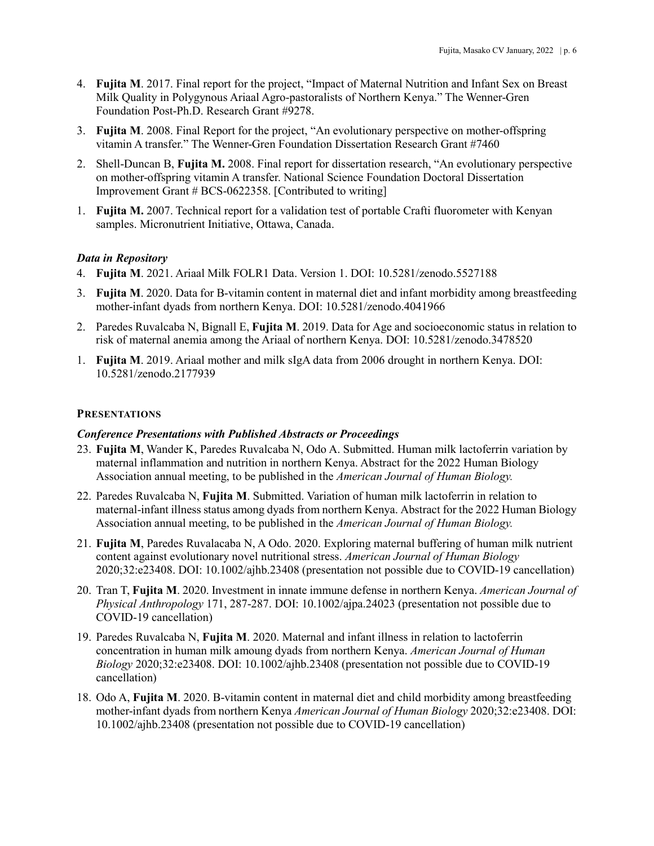- 4. **Fujita M**. 2017. Final report for the project, "Impact of Maternal Nutrition and Infant Sex on Breast Milk Quality in Polygynous Ariaal Agro-pastoralists of Northern Kenya." The Wenner-Gren Foundation Post-Ph.D. Research Grant #9278.
- 3. **Fujita M**. 2008. Final Report for the project, "An evolutionary perspective on mother-offspring vitamin A transfer." The Wenner-Gren Foundation Dissertation Research Grant #7460
- 2. Shell-Duncan B, **Fujita M.** 2008. Final report for dissertation research, "An evolutionary perspective on mother-offspring vitamin A transfer. National Science Foundation Doctoral Dissertation Improvement Grant # BCS-0622358. [Contributed to writing]
- 1. **Fujita M.** 2007. Technical report for a validation test of portable Crafti fluorometer with Kenyan samples. Micronutrient Initiative, Ottawa, Canada.

### *Data in Repository*

- 4. **Fujita M**. 2021. Ariaal Milk FOLR1 Data. Version 1. DOI: 10.5281/zenodo.5527188
- 3. **Fujita M**. 2020. Data for B-vitamin content in maternal diet and infant morbidity among breastfeeding mother-infant dyads from northern Kenya. DOI: 10.5281/zenodo.4041966
- 2. Paredes Ruvalcaba N, Bignall E, **Fujita M**. 2019. Data for Age and socioeconomic status in relation to risk of maternal anemia among the Ariaal of northern Kenya. DOI: 10.5281/zenodo.3478520
- 1. **Fujita M**. 2019. Ariaal mother and milk sIgA data from 2006 drought in northern Kenya. DOI: 10.5281/zenodo.2177939

#### **PRESENTATIONS**

#### *Conference Presentations with Published Abstracts or Proceedings*

- 23. **Fujita M**, Wander K, Paredes Ruvalcaba N, Odo A. Submitted. Human milk lactoferrin variation by maternal inflammation and nutrition in northern Kenya. Abstract for the 2022 Human Biology Association annual meeting, to be published in the *American Journal of Human Biology.*
- 22. Paredes Ruvalcaba N, **Fujita M**. Submitted. Variation of human milk lactoferrin in relation to maternal-infant illness status among dyads from northern Kenya. Abstract for the 2022 Human Biology Association annual meeting, to be published in the *American Journal of Human Biology.*
- 21. **Fujita M**, Paredes Ruvalacaba N, A Odo. 2020. Exploring maternal buffering of human milk nutrient content against evolutionary novel nutritional stress. *American Journal of Human Biology* 2020;32:e23408. DOI: 10.1002/ajhb.23408 (presentation not possible due to COVID-19 cancellation)
- 20. Tran T, **Fujita M**. 2020. Investment in innate immune defense in northern Kenya. *American Journal of Physical Anthropology* 171, 287-287. DOI: 10.1002/ajpa.24023 (presentation not possible due to COVID-19 cancellation)
- 19. Paredes Ruvalcaba N, **Fujita M**. 2020. Maternal and infant illness in relation to lactoferrin concentration in human milk amoung dyads from northern Kenya. *American Journal of Human Biology* 2020;32:e23408. DOI: 10.1002/ajhb.23408 (presentation not possible due to COVID-19 cancellation)
- 18. Odo A, **Fujita M**. 2020. B-vitamin content in maternal diet and child morbidity among breastfeeding mother-infant dyads from northern Kenya *American Journal of Human Biology* 2020;32:e23408. DOI: 10.1002/ajhb.23408 (presentation not possible due to COVID-19 cancellation)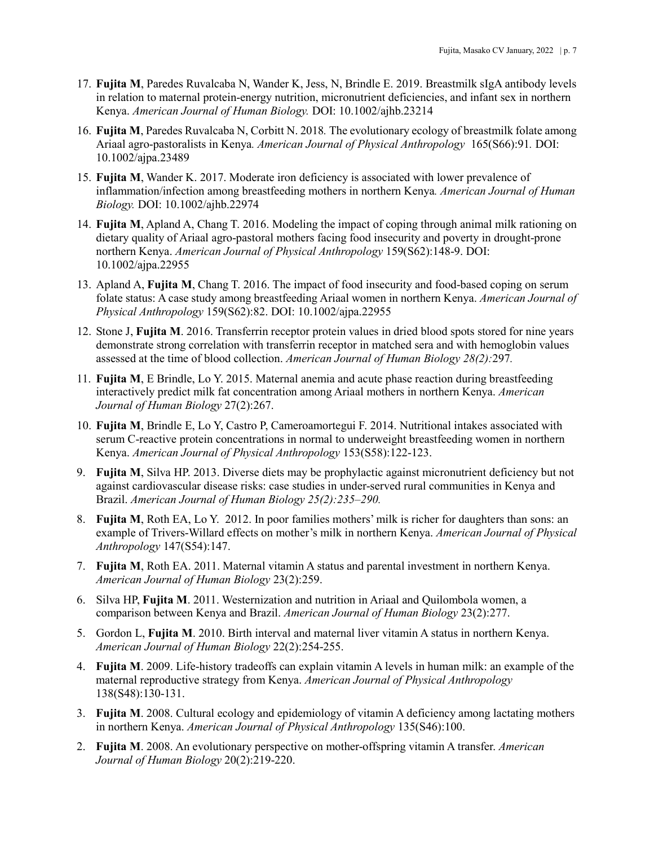- 17. **Fujita M**, Paredes Ruvalcaba N, Wander K, Jess, N, Brindle E. 2019. Breastmilk sIgA antibody levels in relation to maternal protein-energy nutrition, micronutrient deficiencies, and infant sex in northern Kenya. *American Journal of Human Biology.* DOI: 10.1002/ajhb.23214
- 16. **Fujita M**, Paredes Ruvalcaba N, Corbitt N. 2018*.* The evolutionary ecology of breastmilk folate among Ariaal agro-pastoralists in Kenya*. American Journal of Physical Anthropology* 165(S66):91*.* DOI: 10.1002/ajpa.23489
- 15. **Fujita M**, Wander K. 2017. Moderate iron deficiency is associated with lower prevalence of inflammation/infection among breastfeeding mothers in northern Kenya*. American Journal of Human Biology.* DOI: 10.1002/ajhb.22974
- 14. **Fujita M**, Apland A, Chang T. 2016. Modeling the impact of coping through animal milk rationing on dietary quality of Ariaal agro-pastoral mothers facing food insecurity and poverty in drought-prone northern Kenya. *American Journal of Physical Anthropology* 159(S62):148-9. DOI: 10.1002/ajpa.22955
- 13. Apland A, **Fujita M**, Chang T. 2016. The impact of food insecurity and food-based coping on serum folate status: A case study among breastfeeding Ariaal women in northern Kenya. *American Journal of Physical Anthropology* 159(S62):82. DOI: 10.1002/ajpa.22955
- 12. Stone J, **Fujita M**. 2016. Transferrin receptor protein values in dried blood spots stored for nine years demonstrate strong correlation with transferrin receptor in matched sera and with hemoglobin values assessed at the time of blood collection. *American Journal of Human Biology 28(2):*297*.*
- 11. **Fujita M**, E Brindle, Lo Y. 2015. Maternal anemia and acute phase reaction during breastfeeding interactively predict milk fat concentration among Ariaal mothers in northern Kenya. *American Journal of Human Biology* 27(2):267.
- 10. **Fujita M**, Brindle E, Lo Y, Castro P, Cameroamortegui F. 2014. Nutritional intakes associated with serum C-reactive protein concentrations in normal to underweight breastfeeding women in northern Kenya. *American Journal of Physical Anthropology* 153(S58):122-123.
- 9. **Fujita M**, Silva HP. 2013. Diverse diets may be prophylactic against micronutrient deficiency but not against cardiovascular disease risks: case studies in under-served rural communities in Kenya and Brazil. *American Journal of Human Biology 25(2):235–290.*
- 8. **Fujita M**, Roth EA, Lo Y. 2012. In poor families mothers' milk is richer for daughters than sons: an example of Trivers-Willard effects on mother's milk in northern Kenya. *American Journal of Physical Anthropology* 147(S54):147.
- 7. **Fujita M**, Roth EA. 2011. Maternal vitamin A status and parental investment in northern Kenya. *American Journal of Human Biology* 23(2):259.
- 6. Silva HP, **Fujita M**. 2011. Westernization and nutrition in Ariaal and Quilombola women, a comparison between Kenya and Brazil. *American Journal of Human Biology* 23(2):277.
- 5. Gordon L, **Fujita M**. 2010. Birth interval and maternal liver vitamin A status in northern Kenya. *American Journal of Human Biology* 22(2):254-255.
- 4. **Fujita M**. 2009. Life-history tradeoffs can explain vitamin A levels in human milk: an example of the maternal reproductive strategy from Kenya. *American Journal of Physical Anthropology* 138(S48):130-131.
- 3. **Fujita M**. 2008. Cultural ecology and epidemiology of vitamin A deficiency among lactating mothers in northern Kenya. *American Journal of Physical Anthropology* 135(S46):100.
- 2. **Fujita M**. 2008. An evolutionary perspective on mother-offspring vitamin A transfer. *American Journal of Human Biology* 20(2):219-220.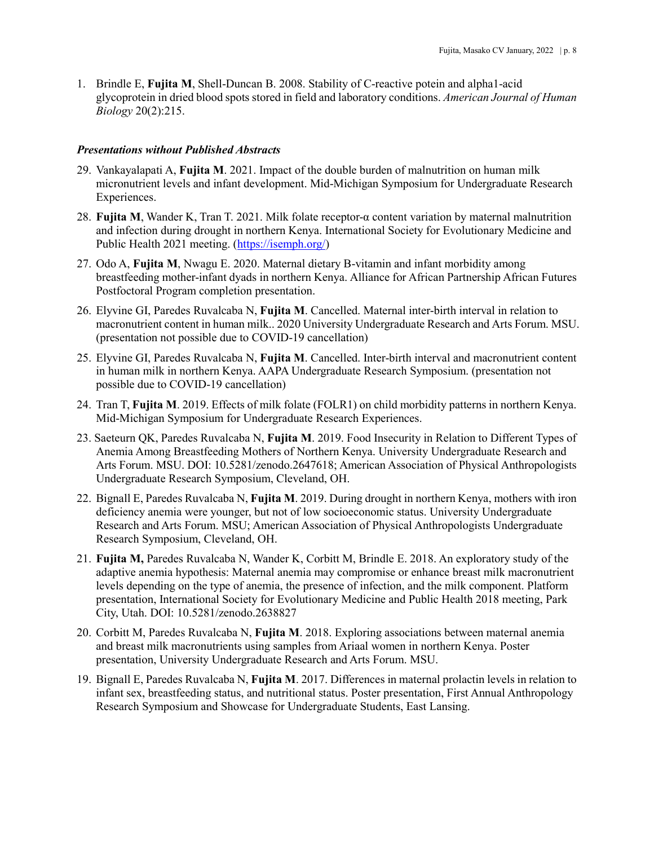1. Brindle E, **Fujita M**, Shell-Duncan B. 2008. Stability of C-reactive potein and alpha1-acid glycoprotein in dried blood spots stored in field and laboratory conditions. *American Journal of Human Biology* 20(2):215.

#### *Presentations without Published Abstracts*

- 29. Vankayalapati A, **Fujita M**. 2021. Impact of the double burden of malnutrition on human milk micronutrient levels and infant development. Mid-Michigan Symposium for Undergraduate Research Experiences.
- 28. **Fujita M**, Wander K, Tran T. 2021. Milk folate receptor-α content variation by maternal malnutrition and infection during drought in northern Kenya. International Society for Evolutionary Medicine and Public Health 2021 meeting. [\(https://isemph.org/\)](https://isemph.org/)
- 27. Odo A, **Fujita M**, Nwagu E. 2020. Maternal dietary B-vitamin and infant morbidity among breastfeeding mother-infant dyads in northern Kenya. Alliance for African Partnership African Futures Postfoctoral Program completion presentation.
- 26. Elyvine GI, Paredes Ruvalcaba N, **Fujita M**. Cancelled. Maternal inter-birth interval in relation to macronutrient content in human milk.. 2020 University Undergraduate Research and Arts Forum. MSU. (presentation not possible due to COVID-19 cancellation)
- 25. Elyvine GI, Paredes Ruvalcaba N, **Fujita M**. Cancelled. Inter-birth interval and macronutrient content in human milk in northern Kenya. AAPA Undergraduate Research Symposium. (presentation not possible due to COVID-19 cancellation)
- 24. Tran T, **Fujita M**. 2019. Effects of milk folate (FOLR1) on child morbidity patterns in northern Kenya. Mid-Michigan Symposium for Undergraduate Research Experiences.
- 23. Saeteurn QK, Paredes Ruvalcaba N, **Fujita M**. 2019. Food Insecurity in Relation to Different Types of Anemia Among Breastfeeding Mothers of Northern Kenya. University Undergraduate Research and Arts Forum. MSU. DOI: 10.5281/zenodo.2647618; American Association of Physical Anthropologists Undergraduate Research Symposium, Cleveland, OH.
- 22. Bignall E, Paredes Ruvalcaba N, **Fujita M**. 2019. During drought in northern Kenya, mothers with iron deficiency anemia were younger, but not of low socioeconomic status. University Undergraduate Research and Arts Forum. MSU; American Association of Physical Anthropologists Undergraduate Research Symposium, Cleveland, OH.
- 21. **Fujita M,** Paredes Ruvalcaba N, Wander K, Corbitt M, Brindle E. 2018. An exploratory study of the adaptive anemia hypothesis: Maternal anemia may compromise or enhance breast milk macronutrient levels depending on the type of anemia, the presence of infection, and the milk component. Platform presentation, International Society for Evolutionary Medicine and Public Health 2018 meeting, Park City, Utah. DOI: 10.5281/zenodo.2638827
- 20. Corbitt M, Paredes Ruvalcaba N, **Fujita M**. 2018. Exploring associations between maternal anemia and breast milk macronutrients using samples from Ariaal women in northern Kenya. Poster presentation, University Undergraduate Research and Arts Forum. MSU.
- 19. Bignall E, Paredes Ruvalcaba N, **Fujita M**. 2017. Differences in maternal prolactin levels in relation to infant sex, breastfeeding status, and nutritional status. Poster presentation, First Annual Anthropology Research Symposium and Showcase for Undergraduate Students, East Lansing.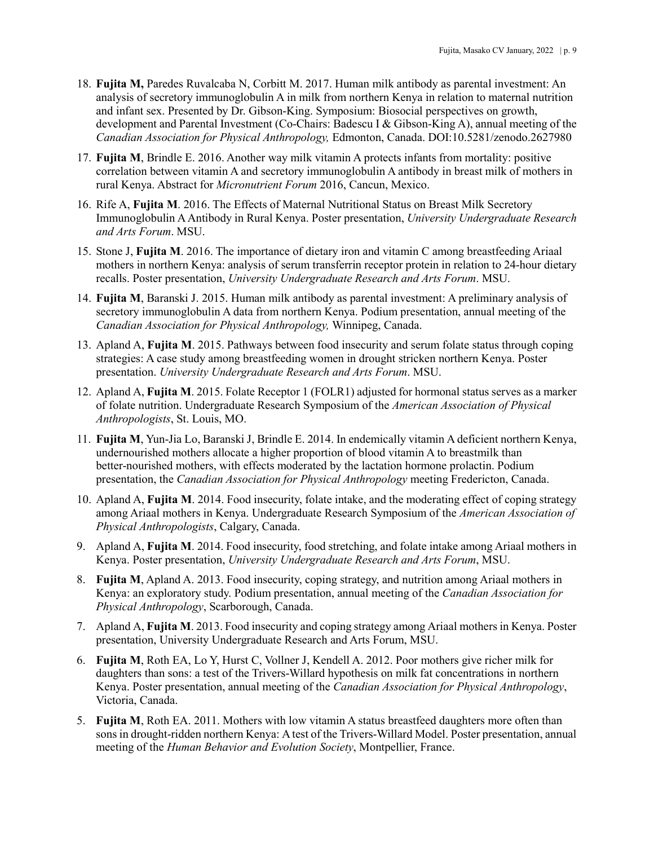- 18. **Fujita M,** Paredes Ruvalcaba N, Corbitt M. 2017. Human milk antibody as parental investment: An analysis of secretory immunoglobulin A in milk from northern Kenya in relation to maternal nutrition and infant sex. Presented by Dr. Gibson-King. Symposium: Biosocial perspectives on growth, development and Parental Investment (Co-Chairs: Badescu I & Gibson-King A), annual meeting of the *Canadian Association for Physical Anthropology,* Edmonton, Canada. DOI:10.5281/zenodo.2627980
- 17. **Fujita M**, Brindle E. 2016. Another way milk vitamin A protects infants from mortality: positive correlation between vitamin A and secretory immunoglobulin A antibody in breast milk of mothers in rural Kenya. Abstract for *Micronutrient Forum* 2016, Cancun, Mexico.
- 16. Rife A, **Fujita M**. 2016. The Effects of Maternal Nutritional Status on Breast Milk Secretory Immunoglobulin A Antibody in Rural Kenya. Poster presentation, *University Undergraduate Research and Arts Forum*. MSU.
- 15. Stone J, **Fujita M**. 2016. The importance of dietary iron and vitamin C among breastfeeding Ariaal mothers in northern Kenya: analysis of serum transferrin receptor protein in relation to 24-hour dietary recalls. Poster presentation, *University Undergraduate Research and Arts Forum*. MSU.
- 14. **Fujita M**, Baranski J. 2015. Human milk antibody as parental investment: A preliminary analysis of secretory immunoglobulin A data from northern Kenya. Podium presentation, annual meeting of the *Canadian Association for Physical Anthropology,* Winnipeg, Canada.
- 13. Apland A, **Fujita M**. 2015. Pathways between food insecurity and serum folate status through coping strategies: A case study among breastfeeding women in drought stricken northern Kenya. Poster presentation. *University Undergraduate Research and Arts Forum*. MSU.
- 12. Apland A, **Fujita M**. 2015. Folate Receptor 1 (FOLR1) adjusted for hormonal status serves as a marker of folate nutrition. Undergraduate Research Symposium of the *American Association of Physical Anthropologists*, St. Louis, MO.
- 11. **Fujita M**, Yun-Jia Lo, Baranski J, Brindle E. 2014. In endemically vitamin A deficient northern Kenya, undernourished mothers allocate a higher proportion of blood vitamin A to breastmilk than better-nourished mothers, with effects moderated by the lactation hormone prolactin. Podium presentation, the *Canadian Association for Physical Anthropology* meeting Fredericton, Canada.
- 10. Apland A, **Fujita M**. 2014. Food insecurity, folate intake, and the moderating effect of coping strategy among Ariaal mothers in Kenya. Undergraduate Research Symposium of the *American Association of Physical Anthropologists*, Calgary, Canada.
- 9. Apland A, **Fujita M**. 2014. Food insecurity, food stretching, and folate intake among Ariaal mothers in Kenya. Poster presentation, *University Undergraduate Research and Arts Forum*, MSU.
- 8. **Fujita M**, Apland A. 2013. Food insecurity, coping strategy, and nutrition among Ariaal mothers in Kenya: an exploratory study. Podium presentation, annual meeting of the *Canadian Association for Physical Anthropology*, Scarborough, Canada.
- 7. Apland A, **Fujita M**. 2013. Food insecurity and coping strategy among Ariaal mothers in Kenya. Poster presentation, University Undergraduate Research and Arts Forum, MSU.
- 6. **Fujita M**, Roth EA, Lo Y, Hurst C, Vollner J, Kendell A. 2012. Poor mothers give richer milk for daughters than sons: a test of the Trivers-Willard hypothesis on milk fat concentrations in northern Kenya. Poster presentation, annual meeting of the *Canadian Association for Physical Anthropology*, Victoria, Canada.
- 5. **Fujita M**, Roth EA. 2011. Mothers with low vitamin A status breastfeed daughters more often than sons in drought-ridden northern Kenya: A test of the Trivers-Willard Model. Poster presentation, annual meeting of the *Human Behavior and Evolution Society*, Montpellier, France.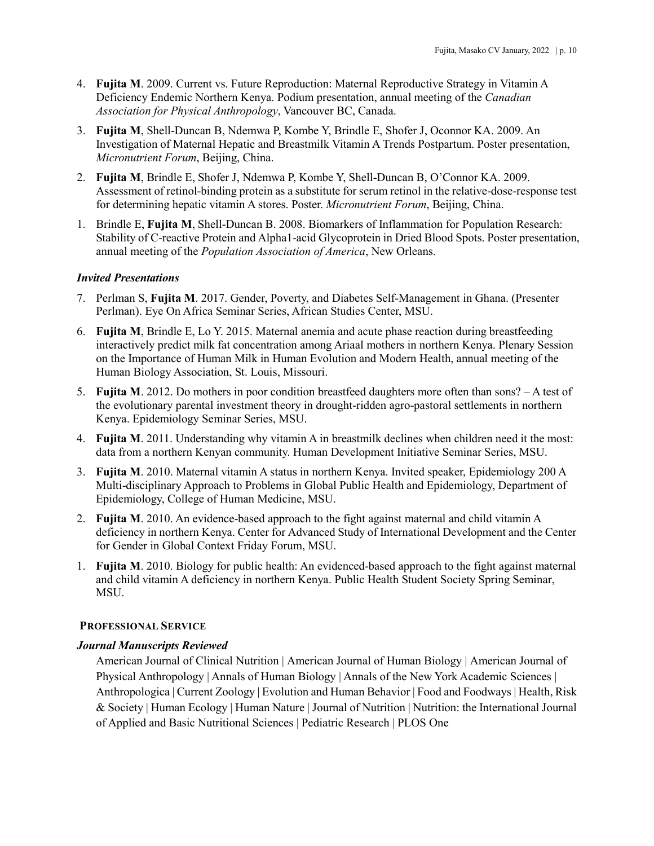- 4. **Fujita M**. 2009. Current vs. Future Reproduction: Maternal Reproductive Strategy in Vitamin A Deficiency Endemic Northern Kenya. Podium presentation, annual meeting of the *Canadian Association for Physical Anthropology*, Vancouver BC, Canada.
- 3. **Fujita M**, Shell-Duncan B, Ndemwa P, Kombe Y, Brindle E, Shofer J, Oconnor KA. 2009. An Investigation of Maternal Hepatic and Breastmilk Vitamin A Trends Postpartum. Poster presentation, *Micronutrient Forum*, Beijing, China.
- 2. **Fujita M**, Brindle E, Shofer J, Ndemwa P, Kombe Y, Shell-Duncan B, O'Connor KA. 2009. Assessment of retinol-binding protein as a substitute for serum retinol in the relative-dose-response test for determining hepatic vitamin A stores. Poster. *Micronutrient Forum*, Beijing, China.
- 1. Brindle E, **Fujita M**, Shell-Duncan B. 2008. Biomarkers of Inflammation for Population Research: Stability of C-reactive Protein and Alpha1-acid Glycoprotein in Dried Blood Spots. Poster presentation, annual meeting of the *Population Association of America*, New Orleans.

### *Invited Presentations*

- 7. Perlman S, **Fujita M**. 2017. Gender, Poverty, and Diabetes Self-Management in Ghana. (Presenter Perlman). Eye On Africa Seminar Series, African Studies Center, MSU.
- 6. **Fujita M**, Brindle E, Lo Y. 2015. Maternal anemia and acute phase reaction during breastfeeding interactively predict milk fat concentration among Ariaal mothers in northern Kenya. Plenary Session on the Importance of Human Milk in Human Evolution and Modern Health, annual meeting of the Human Biology Association, St. Louis, Missouri.
- 5. **Fujita M**. 2012. Do mothers in poor condition breastfeed daughters more often than sons? A test of the evolutionary parental investment theory in drought-ridden agro-pastoral settlements in northern Kenya. Epidemiology Seminar Series, MSU.
- 4. **Fujita M**. 2011. Understanding why vitamin A in breastmilk declines when children need it the most: data from a northern Kenyan community. Human Development Initiative Seminar Series, MSU.
- 3. **Fujita M**. 2010. Maternal vitamin A status in northern Kenya. Invited speaker, Epidemiology 200 A Multi-disciplinary Approach to Problems in Global Public Health and Epidemiology, Department of Epidemiology, College of Human Medicine, MSU.
- 2. **Fujita M**. 2010. An evidence-based approach to the fight against maternal and child vitamin A deficiency in northern Kenya. Center for Advanced Study of International Development and the Center for Gender in Global Context Friday Forum, MSU.
- 1. **Fujita M**. 2010. Biology for public health: An evidenced-based approach to the fight against maternal and child vitamin A deficiency in northern Kenya. Public Health Student Society Spring Seminar, MSU.

#### **PROFESSIONAL SERVICE**

#### *Journal Manuscripts Reviewed*

American Journal of Clinical Nutrition | American Journal of Human Biology | American Journal of Physical Anthropology | Annals of Human Biology | Annals of the New York Academic Sciences | Anthropologica | Current Zoology | Evolution and Human Behavior | Food and Foodways | Health, Risk & Society | Human Ecology | Human Nature | Journal of Nutrition | Nutrition: the International Journal of Applied and Basic Nutritional Sciences | Pediatric Research | PLOS One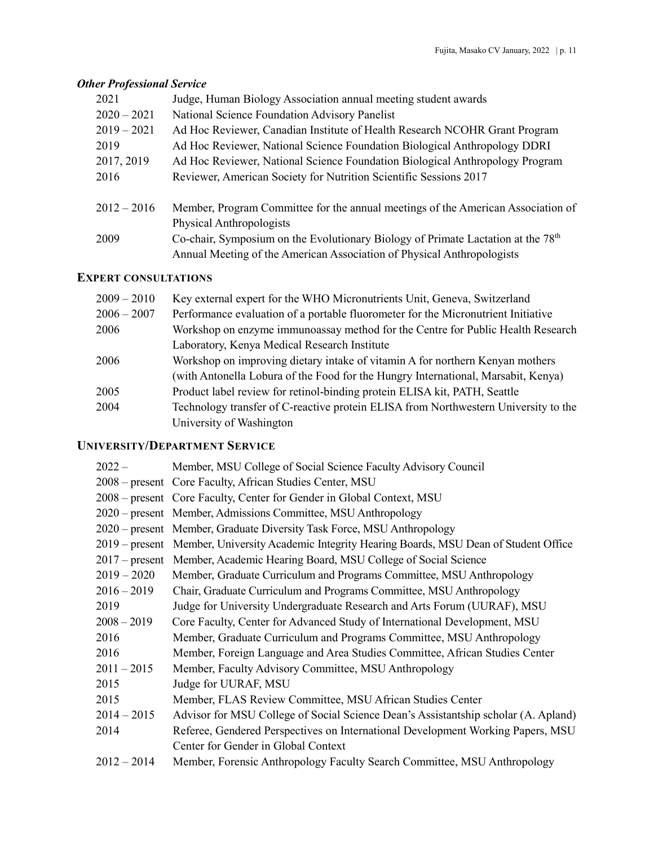## *Other Professional Service*

| 2021          | Judge, Human Biology Association annual meeting student awards                                                                                                         |
|---------------|------------------------------------------------------------------------------------------------------------------------------------------------------------------------|
| $2020 - 2021$ | National Science Foundation Advisory Panelist                                                                                                                          |
| $2019 - 2021$ | Ad Hoc Reviewer, Canadian Institute of Health Research NCOHR Grant Program                                                                                             |
| 2019          | Ad Hoc Reviewer, National Science Foundation Biological Anthropology DDRI                                                                                              |
| 2017, 2019    | Ad Hoc Reviewer, National Science Foundation Biological Anthropology Program                                                                                           |
| 2016          | Reviewer, American Society for Nutrition Scientific Sessions 2017                                                                                                      |
| $2012 - 2016$ | Member, Program Committee for the annual meetings of the American Association of<br>Physical Anthropologists                                                           |
| 2009          | Co-chair, Symposium on the Evolutionary Biology of Primate Lactation at the 78 <sup>th</sup><br>Annual Meeting of the American Association of Physical Anthropologists |

### **EXPERT CONSULTATIONS**

| $2009 - 2010$ | Key external expert for the WHO Micronutrients Unit, Geneva, Switzerland            |
|---------------|-------------------------------------------------------------------------------------|
| $2006 - 2007$ | Performance evaluation of a portable fluorometer for the Micronutrient Initiative   |
| 2006          | Workshop on enzyme immunoassay method for the Centre for Public Health Research     |
|               | Laboratory, Kenya Medical Research Institute                                        |
| 2006          | Workshop on improving dietary intake of vitamin A for northern Kenyan mothers       |
|               | (with Antonella Lobura of the Food for the Hungry International, Marsabit, Kenya)   |
| 2005          | Product label review for retinol-binding protein ELISA kit, PATH, Seattle           |
| 2004          | Technology transfer of C-reactive protein ELISA from Northwestern University to the |
|               | University of Washington                                                            |

# **UNIVERSITY/DEPARTMENT SERVICE**

| $2022 -$      | Member, MSU College of Social Science Faculty Advisory Council                                  |
|---------------|-------------------------------------------------------------------------------------------------|
|               | 2008 – present Core Faculty, African Studies Center, MSU                                        |
|               | 2008 – present Core Faculty, Center for Gender in Global Context, MSU                           |
|               | 2020 – present Member, Admissions Committee, MSU Anthropology                                   |
|               | 2020 – present Member, Graduate Diversity Task Force, MSU Anthropology                          |
|               | 2019 – present Member, University Academic Integrity Hearing Boards, MSU Dean of Student Office |
|               | 2017 – present Member, Academic Hearing Board, MSU College of Social Science                    |
| $2019 - 2020$ | Member, Graduate Curriculum and Programs Committee, MSU Anthropology                            |
| $2016 - 2019$ | Chair, Graduate Curriculum and Programs Committee, MSU Anthropology                             |
| 2019          | Judge for University Undergraduate Research and Arts Forum (UURAF), MSU                         |
| $2008 - 2019$ | Core Faculty, Center for Advanced Study of International Development, MSU                       |
| 2016          | Member, Graduate Curriculum and Programs Committee, MSU Anthropology                            |
| 2016          | Member, Foreign Language and Area Studies Committee, African Studies Center                     |
| $2011 - 2015$ | Member, Faculty Advisory Committee, MSU Anthropology                                            |
| 2015          | Judge for UURAF, MSU                                                                            |
| 2015          | Member, FLAS Review Committee, MSU African Studies Center                                       |
| $2014 - 2015$ | Advisor for MSU College of Social Science Dean's Assistantship scholar (A. Apland)              |
| 2014          | Referee, Gendered Perspectives on International Development Working Papers, MSU                 |
|               | Center for Gender in Global Context                                                             |
| $2012 - 2014$ | Member, Forensic Anthropology Faculty Search Committee, MSU Anthropology                        |
|               |                                                                                                 |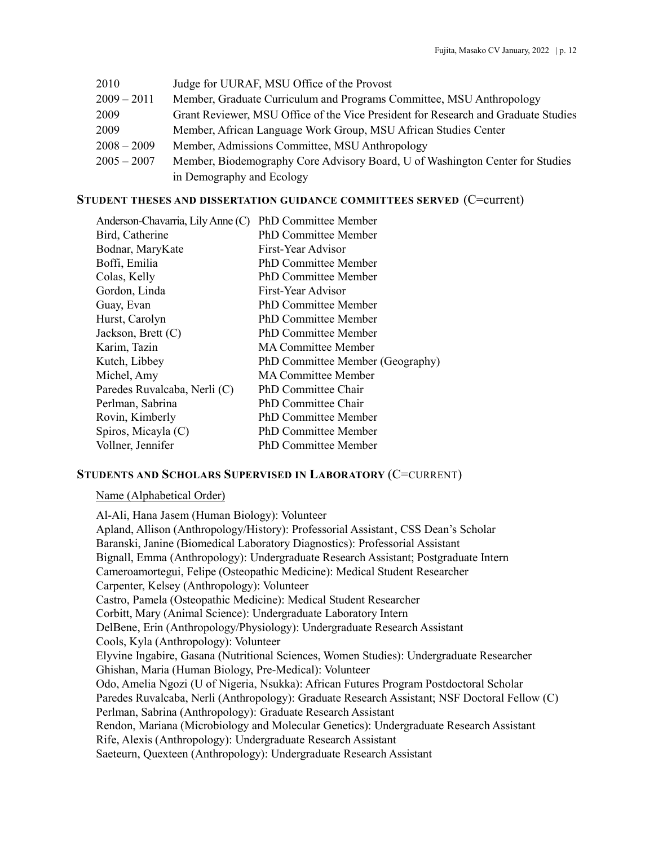| 2010          | Judge for UURAF, MSU Office of the Provost                                         |
|---------------|------------------------------------------------------------------------------------|
| $2009 - 2011$ | Member, Graduate Curriculum and Programs Committee, MSU Anthropology               |
| 2009          | Grant Reviewer, MSU Office of the Vice President for Research and Graduate Studies |
| 2009          | Member, African Language Work Group, MSU African Studies Center                    |
| $2008 - 2009$ | Member, Admissions Committee, MSU Anthropology                                     |
| $2005 - 2007$ | Member, Biodemography Core Advisory Board, U of Washington Center for Studies      |
|               | in Demography and Ecology                                                          |

### **STUDENT THESES AND DISSERTATION GUIDANCE COMMITTEES SERVED** (C=current)

| PhD Committee Member             |
|----------------------------------|
| <b>PhD Committee Member</b>      |
| First-Year Advisor               |
| <b>PhD Committee Member</b>      |
| <b>PhD Committee Member</b>      |
| First-Year Advisor               |
| <b>PhD Committee Member</b>      |
| <b>PhD Committee Member</b>      |
| <b>PhD Committee Member</b>      |
| <b>MA Committee Member</b>       |
| PhD Committee Member (Geography) |
| <b>MA Committee Member</b>       |
| PhD Committee Chair              |
| <b>PhD Committee Chair</b>       |
| <b>PhD Committee Member</b>      |
| <b>PhD Committee Member</b>      |
| <b>PhD Committee Member</b>      |
|                                  |

### **STUDENTS AND SCHOLARS SUPERVISED IN LABORATORY** (C=CURRENT)

#### Name (Alphabetical Order)

Al-Ali, Hana Jasem (Human Biology): Volunteer Apland, Allison (Anthropology/History): Professorial Assistant, CSS Dean's Scholar Baranski, Janine (Biomedical Laboratory Diagnostics): Professorial Assistant Bignall, Emma (Anthropology): Undergraduate Research Assistant; Postgraduate Intern Cameroamortegui, Felipe (Osteopathic Medicine): Medical Student Researcher Carpenter, Kelsey (Anthropology): Volunteer Castro, Pamela (Osteopathic Medicine): Medical Student Researcher Corbitt, Mary (Animal Science): Undergraduate Laboratory Intern DelBene, Erin (Anthropology/Physiology): Undergraduate Research Assistant Cools, Kyla (Anthropology): Volunteer Elyvine Ingabire, Gasana (Nutritional Sciences, Women Studies): Undergraduate Researcher Ghishan, Maria (Human Biology, Pre-Medical): Volunteer Odo, Amelia Ngozi (U of Nigeria, Nsukka): African Futures Program Postdoctoral Scholar Paredes Ruvalcaba, Nerli (Anthropology): Graduate Research Assistant; NSF Doctoral Fellow (C) Perlman, Sabrina (Anthropology): Graduate Research Assistant Rendon, Mariana (Microbiology and Molecular Genetics): Undergraduate Research Assistant Rife, Alexis (Anthropology): Undergraduate Research Assistant Saeteurn, Quexteen (Anthropology): Undergraduate Research Assistant